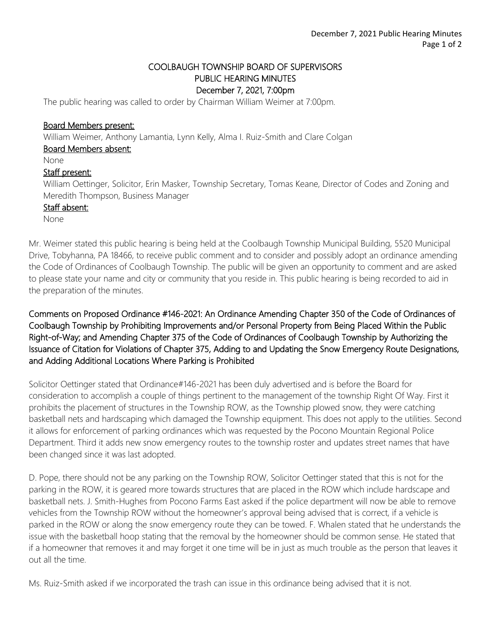## COOLBAUGH TOWNSHIP BOARD OF SUPERVISORS PUBLIC HEARING MINUTES December 7, 2021, 7:00pm

The public hearing was called to order by Chairman William Weimer at 7:00pm.

### Board Members present:

William Weimer, Anthony Lamantia, Lynn Kelly, Alma I. Ruiz-Smith and Clare Colgan

#### Board Members absent:

None

### Staff present:

William Oettinger, Solicitor, Erin Masker, Township Secretary, Tomas Keane, Director of Codes and Zoning and Meredith Thompson, Business Manager

#### Staff absent:

None

Mr. Weimer stated this public hearing is being held at the Coolbaugh Township Municipal Building, 5520 Municipal Drive, Tobyhanna, PA 18466, to receive public comment and to consider and possibly adopt an ordinance amending the Code of Ordinances of Coolbaugh Township. The public will be given an opportunity to comment and are asked to please state your name and city or community that you reside in. This public hearing is being recorded to aid in the preparation of the minutes.

# Comments on Proposed Ordinance #146-2021: An Ordinance Amending Chapter 350 of the Code of Ordinances of Coolbaugh Township by Prohibiting Improvements and/or Personal Property from Being Placed Within the Public Right-of-Way; and Amending Chapter 375 of the Code of Ordinances of Coolbaugh Township by Authorizing the Issuance of Citation for Violations of Chapter 375, Adding to and Updating the Snow Emergency Route Designations, and Adding Additional Locations Where Parking is Prohibited

Solicitor Oettinger stated that Ordinance#146-2021 has been duly advertised and is before the Board for consideration to accomplish a couple of things pertinent to the management of the township Right Of Way. First it prohibits the placement of structures in the Township ROW, as the Township plowed snow, they were catching basketball nets and hardscaping which damaged the Township equipment. This does not apply to the utilities. Second it allows for enforcement of parking ordinances which was requested by the Pocono Mountain Regional Police Department. Third it adds new snow emergency routes to the township roster and updates street names that have been changed since it was last adopted.

D. Pope, there should not be any parking on the Township ROW, Solicitor Oettinger stated that this is not for the parking in the ROW, it is geared more towards structures that are placed in the ROW which include hardscape and basketball nets. J. Smith-Hughes from Pocono Farms East asked if the police department will now be able to remove vehicles from the Township ROW without the homeowner's approval being advised that is correct, if a vehicle is parked in the ROW or along the snow emergency route they can be towed. F. Whalen stated that he understands the issue with the basketball hoop stating that the removal by the homeowner should be common sense. He stated that if a homeowner that removes it and may forget it one time will be in just as much trouble as the person that leaves it out all the time.

Ms. Ruiz-Smith asked if we incorporated the trash can issue in this ordinance being advised that it is not.